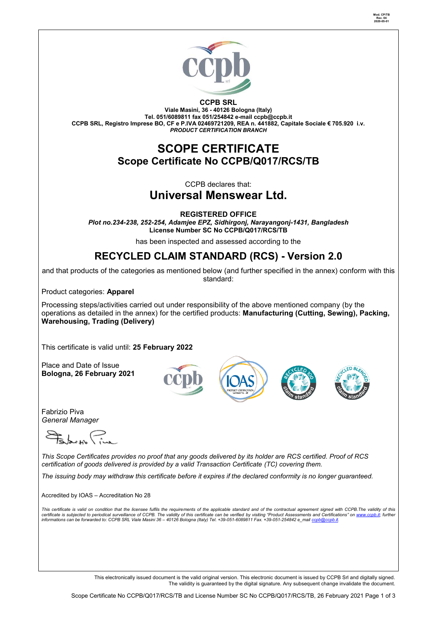

**CCPB SRL Viale Masini, 36 - 40126 Bologna (Italy) Tel. 051/6089811 fax 051/254842 e-mail [ccpb@ccpb.it](mailto:ccpb@ccpb.it) CCPB SRL, Registro Imprese BO, CF e P.IVA 02469721209, REA n. 441882, Capitale Sociale € 705.920 i.v.** *PRODUCT CERTIFICATION BRANCH*

## **SCOPE CERTIFICATE Scope Certificate No CCPB/Q017/RCS/TB**

CCPB declares that:

# **Universal Menswear Ltd.**

**REGISTERED OFFICE**

*Plot no.234-238, 252-254, Adamjee EPZ, Sidhirgonj, Narayangonj-1431, Bangladesh* **License Number SC No CCPB/Q017/RCS/TB**

has been inspected and assessed according to the

# **RECYCLED CLAIM STANDARD (RCS) - Version 2.0**

and that products of the categories as mentioned below (and further specified in the annex) conform with this standard:

Product categories: **Apparel**

Processing steps/activities carried out under responsibility of the above mentioned company (by the operations as detailed in the annex) for the certified products: **Manufacturing (Cutting, Sewing), Packing, Warehousing, Trading (Delivery)**

This certificate is valid until: **25 February 2022**

Place and Date of Issue **Bologna, 26 February 2021**

Fabrizio Piva *General Manager* 

*This Scope Certificates provides no proof that any goods delivered by its holder are RCS certified. Proof of RCS certification of goods delivered is provided by a valid Transaction Certificate (TC) covering them.*

*The issuing body may withdraw this certificate before it expires if the declared conformity is no longer guaranteed.*

Accredited by IOAS – Accreditation No 28

This certificate is valid on condition that the licensee fulfils the requirements of the applicable standard and of the contractual agreement signed with CCPB.The validity of this<br>certificate is subjected to periodical sur

This electronically issued document is the valid original version. This electronic document is issued by CCPB Srl and digitally signed. The validity is guaranteed by the digital signature. Any subsequent change invalidate the document.

 $FD \overline{BI}$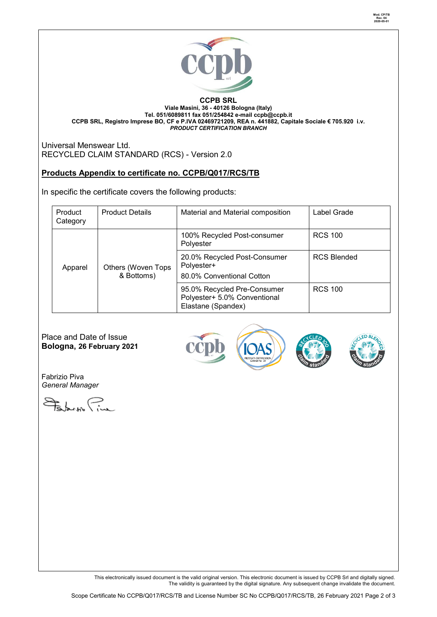

#### **CCPB SRL Viale Masini, 36 - 40126 Bologna (Italy) Tel. 051/6089811 fax 051/254842 e-mail [ccpb@ccpb.it](mailto:ccpb@ccpb.it) CCPB SRL, Registro Imprese BO, CF e P.IVA 02469721209, REA n. 441882, Capitale Sociale € 705.920 i.v.** *PRODUCT CERTIFICATION BRANCH*

Universal Menswear Ltd. RECYCLED CLAIM STANDARD (RCS) - Version 2.0

## **Products Appendix to certificate no. CCPB/Q017/RCS/TB**

In specific the certificate covers the following products:

| Product<br>Category | <b>Product Details</b>           | Material and Material composition                                                 | Label Grade        |
|---------------------|----------------------------------|-----------------------------------------------------------------------------------|--------------------|
| Apparel             | Others (Woven Tops<br>& Bottoms) | 100% Recycled Post-consumer<br>Polyester                                          | <b>RCS 100</b>     |
|                     |                                  | 20.0% Recycled Post-Consumer<br>Polyester+<br>80.0% Conventional Cotton           | <b>RCS Blended</b> |
|                     |                                  | 95.0% Recycled Pre-Consumer<br>Polyester+ 5.0% Conventional<br>Elastane (Spandex) | <b>RCS 100</b>     |

Place and Date of Issue **Bologna, 26 February 2021**





Fabrizio Piva *General Manager* 

Februar Pine

This electronically issued document is the valid original version. This electronic document is issued by CCPB Srl and digitally signed. The validity is guaranteed by the digital signature. Any subsequent change invalidate the document.

**Mod. CP/TB Rev. 04 2020-05-01**